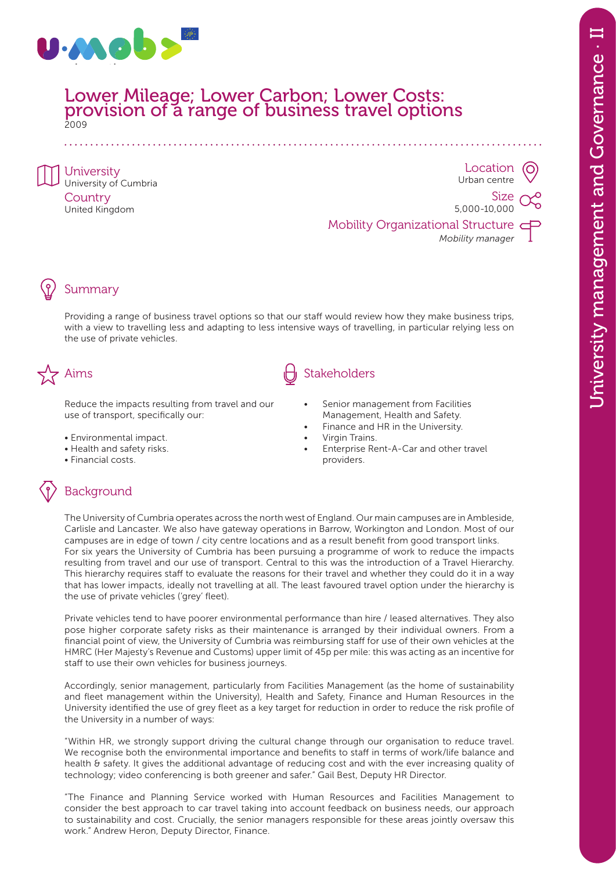

#### Lower Mileage; Lower Carbon; Lower Costs: provision of a range of business travel options 2009

University University of Cumbria **Country** United Kingdom

**Location** Urban centre

Size 5,000-10,000

Mobility Organizational Structure *Mobility manager*

## Summary

Providing a range of business travel options so that our staff would review how they make business trips, with a view to travelling less and adapting to less intensive ways of travelling, in particular relying less on the use of private vehicles.

Reduce the impacts resulting from travel and our use of transport, specifically our:

- Environmental impact.
- Health and safety risks.
- Financial costs.

# Stakeholders (d) Stakeholders

- Senior management from Facilities Management, Health and Safety.
- Finance and HR in the University.
- Virgin Trains.
- Enterprise Rent-A-Car and other travel providers.

## Background

The University of Cumbria operates across the north west of England. Our main campuses are in Ambleside, Carlisle and Lancaster. We also have gateway operations in Barrow, Workington and London. Most of our campuses are in edge of town / city centre locations and as a result benefit from good transport links. For six years the University of Cumbria has been pursuing a programme of work to reduce the impacts resulting from travel and our use of transport. Central to this was the introduction of a Travel Hierarchy. This hierarchy requires staff to evaluate the reasons for their travel and whether they could do it in a way that has lower impacts, ideally not travelling at all. The least favoured travel option under the hierarchy is the use of private vehicles ('grey' fleet).

Private vehicles tend to have poorer environmental performance than hire / leased alternatives. They also pose higher corporate safety risks as their maintenance is arranged by their individual owners. From a financial point of view, the University of Cumbria was reimbursing staff for use of their own vehicles at the HMRC (Her Majesty's Revenue and Customs) upper limit of 45p per mile: this was acting as an incentive for staff to use their own vehicles for business journeys.

Accordingly, senior management, particularly from Facilities Management (as the home of sustainability and fleet management within the University), Health and Safety, Finance and Human Resources in the University identified the use of grey fleet as a key target for reduction in order to reduce the risk profile of the University in a number of ways:

"Within HR, we strongly support driving the cultural change through our organisation to reduce travel. We recognise both the environmental importance and benefits to staff in terms of work/life balance and health & safety. It gives the additional advantage of reducing cost and with the ever increasing quality of technology; video conferencing is both greener and safer." Gail Best, Deputy HR Director.

"The Finance and Planning Service worked with Human Resources and Facilities Management to consider the best approach to car travel taking into account feedback on business needs, our approach to sustainability and cost. Crucially, the senior managers responsible for these areas jointly oversaw this work." Andrew Heron, Deputy Director, Finance.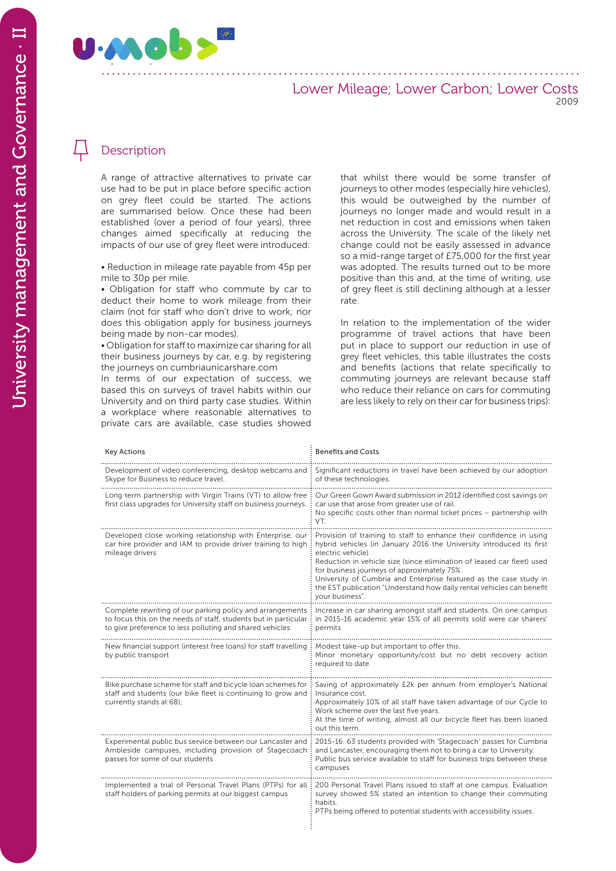

#### Lower Mileage; Lower Carbon; Lower Costs 2009

### Description

A range of attractive alternatives to private car use had to be put in place before specific action on grey fleet could be started. The actions are summarised below. Once these had been established (over a period of four years), three changes aimed specifically at reducing the impacts of our use of grey fleet were introduced:

• Reduction in mileage rate payable from 45p per mile to 30p per mile.

• Obligation for staff who commute by car to deduct their home to work mileage from their claim (not for staff who don't drive to work; nor does this obligation apply for business journeys being made by non-car modes).

• Obligation for staff to maximize car sharing for all their business journeys by car, e.g. by registering the journeys on cumbriaunicarshare.com

In terms of our expectation of success, we based this on surveys of travel habits within our University and on third party case studies. Within a workplace where reasonable alternatives to private cars are available, case studies showed that whilst there would be some transfer of journeys to other modes (especially hire vehicles), this would be outweighed by the number of journeys no longer made and would result in a net reduction in cost and emissions when taken across the University. The scale of the likely net change could not be easily assessed in advance so a mid-range target of £75,000 for the first year was adopted. The results turned out to be more positive than this and, at the time of writing, use of grey fleet is still declining although at a lesser rate.

In relation to the implementation of the wider programme of travel actions that have been put in place to support our reduction in use of grey fleet vehicles, this table illustrates the costs and benefits (actions that relate specifically to commuting journeys are relevant because staff who reduce their reliance on cars for commuting are less likely to rely on their car for business trips):

| <b>Key Actions</b>                                                                                                                                                                       | <b>Benefits and Costs</b>                                                                                                                                                                                                                                                                                                                                                                                                                                    |
|------------------------------------------------------------------------------------------------------------------------------------------------------------------------------------------|--------------------------------------------------------------------------------------------------------------------------------------------------------------------------------------------------------------------------------------------------------------------------------------------------------------------------------------------------------------------------------------------------------------------------------------------------------------|
| Development of video conferencing, desktop webcams and<br>Skype for Business to reduce travel.                                                                                           | Significant reductions in travel have been achieved by our adoption<br>of these technologies.                                                                                                                                                                                                                                                                                                                                                                |
| Long term partnership with Virgin Trains (VT) to allow free<br>first class upgrades for University staff on business journeys.                                                           | Our Green Gown Award submission in 2012 identified cost savings on<br>car use that arose from greater use of rail.<br>No specific costs other than normal ticket prices - partnership with<br>VT.                                                                                                                                                                                                                                                            |
| Developed close working relationship with Enterprise, our<br>car hire provider and IAM to provide driver training to high<br>mileage drivers                                             | Provision of training to staff to enhance their confidence in using<br>hybrid vehicles (in January 2016 the University introduced its first<br>electric vehicle).<br>Reduction in vehicle size (since elimination of leased car fleet) used<br>for business journeys of approximately 75%.<br>University of Cumbria and Enterprise featured as the case study in<br>the EST publication "Understand how daily rental vehicles can benefit<br>your business". |
| Complete rewriting of our parking policy and arrangements<br>to focus this on the needs of staff, students but in particular<br>to give preference to less polluting and shared vehicles | Increase in car sharing amongst staff and students. On one campus<br>in 2015-16 academic year 15% of all permits sold were car sharers'<br>permits                                                                                                                                                                                                                                                                                                           |
| New financial support (interest free loans) for staff travelling<br>by public transport                                                                                                  | Modest take-up but important to offer this.<br>Minor monetary opportunity/cost but no debt recovery action<br>required to date                                                                                                                                                                                                                                                                                                                               |
| Bike purchase scheme for staff and bicycle loan schemes for<br>staff and students (our bike fleet is continuing to grow and<br>currently stands at 68);                                  | Saving of approximately £2k per annum from employer's National<br>Insurance cost.<br>Approximately 10% of all staff have taken advantage of our Cycle to<br>Work scheme over the last five years.<br>At the time of writing, almost all our bicycle fleet has been loaned<br>out this term.                                                                                                                                                                  |
| Experimental public bus service between our Lancaster and<br>Ambleside campuses, including provision of Stagecoach<br>passes for some of our students                                    | 2015-16: 63 students provided with 'Stagecoach' passes for Cumbria<br>and Lancaster, encouraging them not to bring a car to University.<br>Public bus service available to staff for business trips between these<br>campuses                                                                                                                                                                                                                                |
| Implemented a trial of Personal Travel Plans (PTPs) for all<br>staff holders of parking permits at our biggest campus                                                                    | 200 Personal Travel Plans issued to staff at one campus. Evaluation<br>survey showed 5% stated an intention to change their commuting<br>habits.<br>PTPs being offered to potential students with accessibility issues.                                                                                                                                                                                                                                      |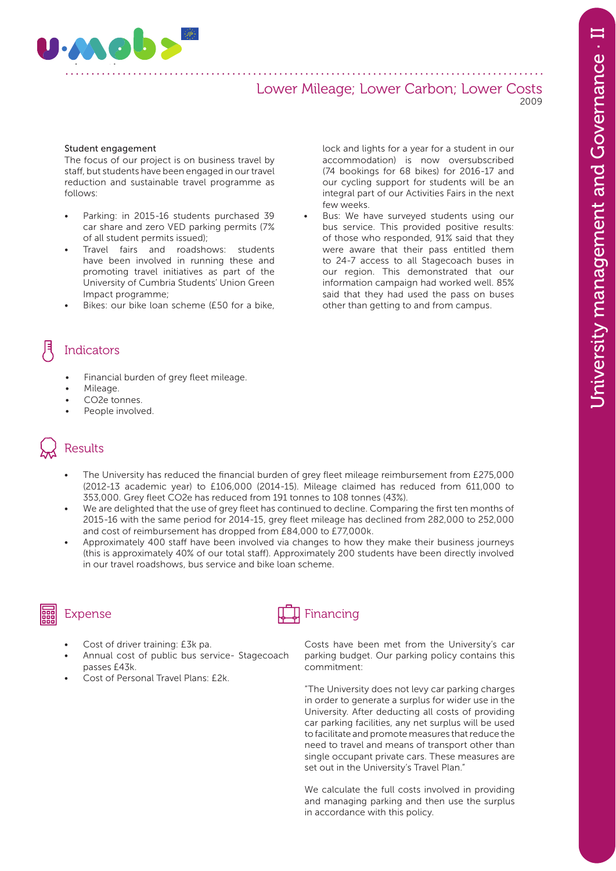

#### Lower Mileage; Lower Carbon; Lower Costs 2009

#### Student engagement

The focus of our project is on business travel by staff, but students have been engaged in our travel reduction and sustainable travel programme as follows:

- Parking: in 2015-16 students purchased 39 car share and zero VED parking permits (7% of all student permits issued);
- Travel fairs and roadshows: students have been involved in running these and promoting travel initiatives as part of the University of Cumbria Students' Union Green Impact programme;
- Bikes: our bike loan scheme (£50 for a bike,

lock and lights for a year for a student in our accommodation) is now oversubscribed (74 bookings for 68 bikes) for 2016-17 and our cycling support for students will be an integral part of our Activities Fairs in the next few weeks.

Bus: We have surveyed students using our bus service. This provided positive results: of those who responded, 91% said that they were aware that their pass entitled them to 24-7 access to all Stagecoach buses in our region. This demonstrated that our information campaign had worked well. 85% said that they had used the pass on buses other than getting to and from campus.

### Indicators

- Financial burden of grey fleet mileage.
- Mileage.
- CO2e tonnes.
- People involved.

# Results

- The University has reduced the financial burden of grey fleet mileage reimbursement from £275,000 (2012-13 academic year) to £106,000 (2014-15). Mileage claimed has reduced from 611,000 to 353,000. Grey fleet CO2e has reduced from 191 tonnes to 108 tonnes (43%).
- We are delighted that the use of grey fleet has continued to decline. Comparing the first ten months of 2015-16 with the same period for 2014-15, grey fleet mileage has declined from 282,000 to 252,000 and cost of reimbursement has dropped from £84,000 to £77,000k.
- Approximately 400 staff have been involved via changes to how they make their business journeys (this is approximately 40% of our total staff). Approximately 200 students have been directly involved in our travel roadshows, bus service and bike loan scheme.

- Cost of driver training: £3k pa.
- Annual cost of public bus service- Stagecoach passes £43k.
- Cost of Personal Travel Plans: £2k.

# Expense  $\downarrow$  Financing

Costs have been met from the University's car parking budget. Our parking policy contains this commitment:

"The University does not levy car parking charges in order to generate a surplus for wider use in the University. After deducting all costs of providing car parking facilities, any net surplus will be used to facilitate and promote measures that reduce the need to travel and means of transport other than single occupant private cars. These measures are set out in the University's Travel Plan."

We calculate the full costs involved in providing and managing parking and then use the surplus in accordance with this policy.